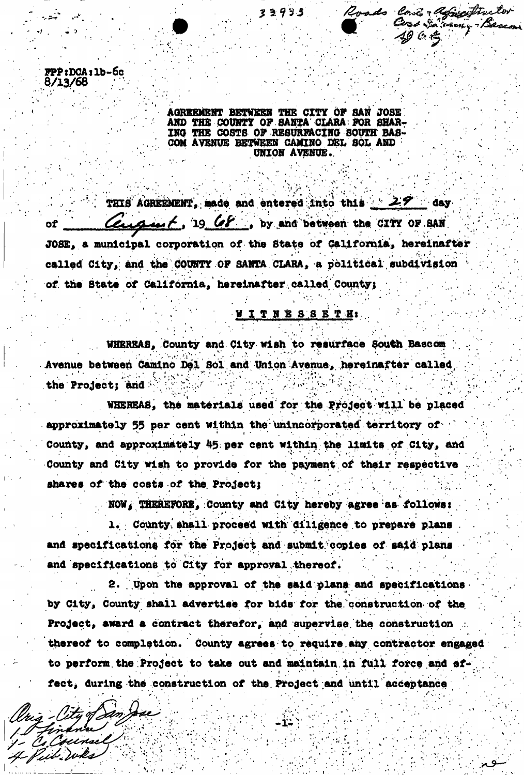**FPP:DCA:1b-6c** 8/13/68

g-lity of San Jose

4- Pub Wk

AGREEMENT BETWEEN THE CITY OF SAN JOSE AND THE COUNTY OF SANTA CLARA FOR SHAR-ING THE COSTS OF RESURFACING SOUTH BAS-COM AVENUE BETWEEN CAMINO DEL SOL AND UNION AVENUE.

33933

Roads Cont & Construct<br>Coost Internet Be

THIS AGREEMENT, made and entered into this  $29$  day  $\overline{\mathcal{L}}$   $\overline{\mathcal{L}}$ , 19  $\overline{\mathcal{L}}$ , by and between the CITY OF SAN JOSE, a municipal corporation of the State of California, hereinafter called City, and the COUNTY OF SANTA CLARA, a political subdivision of the State of California, hereinafter called County;

## WITNESSETH:

WHEREAS, County and City wish to resurface South Bascom Avenue between Camino Del Sol and Union Avenue, hereinafter called the Project; and

WHEREAS, the materials used for the Project will be placed approximately 55 per cent within the unincorporated territory of County, and approximately 45 per cent within the limits of City, and County and City wish to provide for the payment of their respective shares of the costs of the Project;

NOW, THEREFORE, County and City hereby agree as follows: 1. County shall proceed with diligence to prepare plans and specifications for the Project and submit copies of said plans and specifications to City for approval thereof.

2. Upon the approval of the said plans and specifications by City, County shall advertise for bids for the construction of the Project, award a contract therefor, and supervise the construction thereof to completion. County agrees to require any contractor engaged to perform the Project to take out and maintain in full force and effect, during the construction of the Project and until acceptance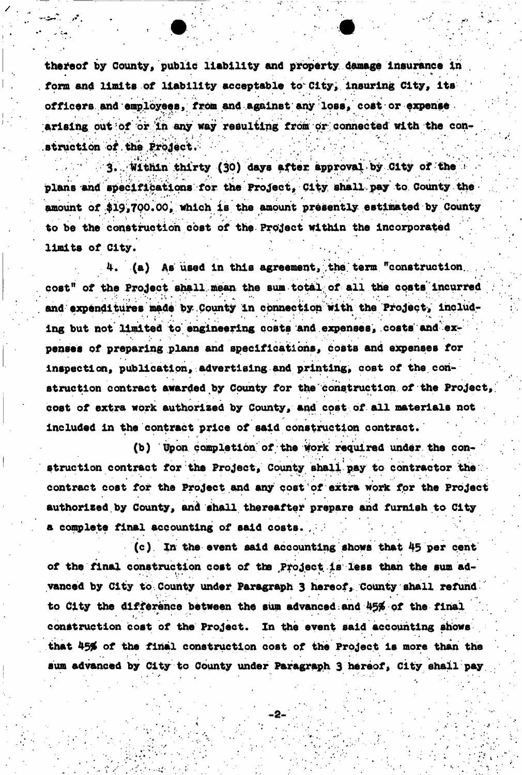thereof by County, public liability and property damage insurance in form and limits of liability acceptable to City, insuring City, its officers and employees, from and against any loss, cost or expense -..»•• v. ^ •  $\mathbf{e}^{\mathbf{e}}_{\mathbf{e}}$   $\mathbf{e}^{\mathbf{e}}_{\mathbf{e}}$   $\mathbf{e}^{\mathbf{e}}_{\mathbf{e}}$   $\mathbf{e}^{\mathbf{e}}_{\mathbf{e}}$   $\mathbf{e}^{\mathbf{e}}_{\mathbf{e}}$   $\mathbf{e}^{\mathbf{e}}_{\mathbf{e}}$   $\mathbf{e}^{\mathbf{e}}_{\mathbf{e}}$   $\mathbf{e}^{\mathbf{e}}_{\mathbf{e}}$   $\mathbf{e}^{\mathbf{e}}_{\mathbf{e}}$   $\mathbf{e}^{\mathbf{e}}$ a - sut the set out want want term such an annoted of the the on arising out of or in any way resultang rrom or connected with the con-**•. '• V •• ' ' • • .. v .• ' v' '**  Btruction of the Project.

 $3.$  Within thirty (30) days after approval by City of the plans and specifications for the Project, City shall pay to County the **.. • '•:./:;.' V ' " \***  amount of  $\phi$ ,  $\phi$ ,  $\phi$  is the amount presention  $\phi$  county  $\phi$  is the amount  $\phi$ to be the construction cost of the Project within the Incorporated limits of City.<br>4. (a) As used in this agreement, the term "construction

 $\mathcal{A}$  as used in the same mass as used in the construction of the construction  $\mathcal{A}$ cost of the Project shall mean the sum total; of all the costs incurred; and expenditures made by County in connection with the Project, including but not limited to engineering costs and expenses, costs and expenses of preparing plans and specifications, costs and expenses for inspection, publication, advertising and printing, cost of the construction contract awarded by County for the construction of the Project, cost of extra work authorised by County, and cost of all materials not Included in the contract price of said construction contract.

(b) Upon completion of the work required under the construction contract for the Project, County shall pay to contractor the contract cost for the Project and any cost of extra work for the Project authorised.by County, and shall thereafter prepare and furnish to City a complete final accounting of said costs.

(c) In the event said accounting shows that 45 per cent of the final construction cost of the Project is less than the sum advanced by City to County under Paragraph 3 hereof, County shall refund to City the difference between the sum advanced and 45% of the final construction cost of the Project. In the event said accounting shows that 455< of the final construction cost of the Project is more than the sum advanced by City to County under Paragraph 3 hereof, City shall pay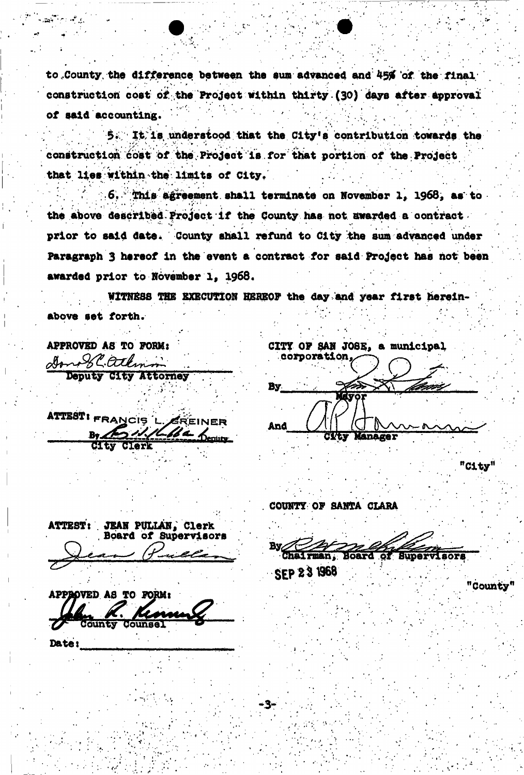to County the difference between the sum advanced and 45% of the final construction cost of the Project within thirty (30) days after approval of said accounting.

5. It is understood that the City's contribution towards the construction cost of the Project is for that portion of the Project that lies within the limits of City.

6. This agreement shall terminate on November 1, 1968, as to the above described Project if the County has not awarded a contract prior to said date. County shall refund to City the sum advanced under Paragraph 3 hereof in the event a contract for said Project has not been awarded prior to November 1, 1968.

WITNESS THE EXECUTION HEREOF the day and year first hereinabove set forth.

**APPROVED AS TO FORM:** Dona & C. atline Deputy City Attorney

ATTESTI FRANCIS L. GREINER B. Clerk

CITY OF SAN JOSE, a municipal corporation By And Manager CVEY

"City"

COUNTY OF SANTA CLARA

IZ.  $\mathbf{B}$ y $\mathcal{A}$ Board of Supervisors HAT I THINK A

**SEP 2 3 1968** 

"County"

APPROVED AS TO FORM: **County Counsel** 

ATTEST: JEAN PULLAN, Clerk

Board of Supervisors

Date: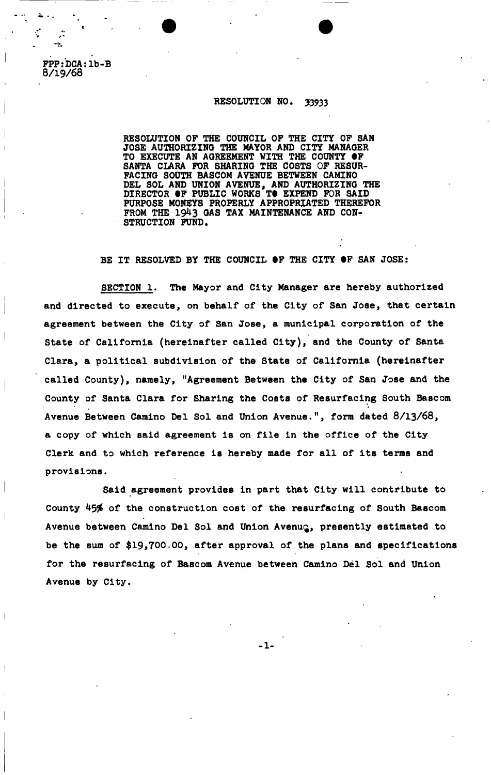**FPP:DCA:lb-B 8/19/68** 

## RESOLUTION NO. 33933

**RESOLUTION OP THE COUNCIL OP THE CITY OP SAN JOSE AUTHORIZING THE MAYOR AND CITY MANAGER**  TO EXECUTE AN AGREEMENT WITH THE COUNTY OF **SANTA CLARA FOR SHARING THE COSTS OF RESUR-FACING SOUTH BASCOM AVENUE BETWEEN CAMINO DEL SOL AND UNION AVENUE, AND AUTHORIZING THE DIRECTOR OF PUBLIC WORKS TO EXPEND FOR SAID PURPOSE MONEYS PROPERLY APPROPRIATED THEREFOR**  FROM THE 1943 GAS TAX MAINTENANCE AND CON-**STRUCTION FUND.** 

BE IT RESOLVED BY THE COUNCIL OF THE CITY OF SAN JOSE:

**SECTION 1, The Mayor and City Manager are hereby authorized and directed to execute, on behalf of the City of San Jose, that certain agreement between the City of San Jose, a municipal corporation of the State of California (hereinafter called City), and the County of Santa Clara, a political subdivision of the State of California (hereinafter called County), namely, "Agreement Between the City of San Jose and the County of Santa Clara for Sharing the Costs of Resurfacing South Bascom Avenue Between Camino Del Sol and Union Avenue.<sup>11</sup>, form dated 8/13/68, a copy of which said agreement is on file in the office of the City Clerk and to which reference is hereby made for all of its terms and provisions.** 

**Said agreement provides in part that City will contribute to County 45\$ of the construction cost of the resurfacing of South Bascom**  Avenue between Camino Del Sol and Union Avenue, presently estimated to **be the sum of \$19,700.00, after approval of the plans and specifications for the resurfacing of Bascom Avenue between Camino Del Sol and Union Avenue by City.** 

 $-1-$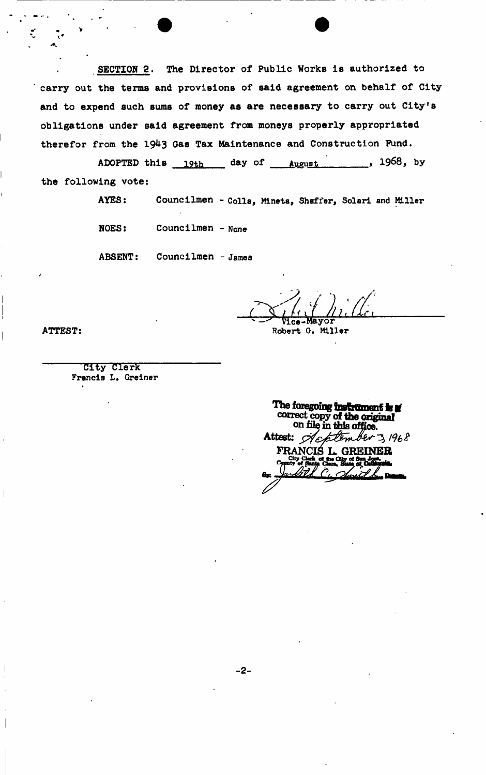**SECTION 2. The Director of Public Works is authorized to carry out the terms and provisions of said agreement on behalf of City and to expend such sums of money as are necessary to carry out City's obligations under said agreement from moneys properly appropriated**  therefor from the 1943 Gas Tax Maintenance and Construction Fund.

ADOPTED this 19th day of *August* 1968, by **the following vote:** 

AYES: Councilmen - Colla, Mineta, Shaffer, Solari and Miller

NOES: **Councilmen** - None

**ABSENT: Councilmen** - James

 $\frac{1}{\sqrt{1}}$   $\frac{1}{\sqrt{1}}$   $\frac{1}{\sqrt{1}}$   $\frac{1}{\sqrt{1}}$ 

Robert G. Miller

**ATTEST:** 

i

City Clerk Francis L. Greiner

> **The foregoing instrument is a**<br>
> correct copy of the original  $\frac{1}{\sqrt{2}}$  on file in this office. Attest: *Achtember* 3, 1968 **FRANCIS** L. GREINER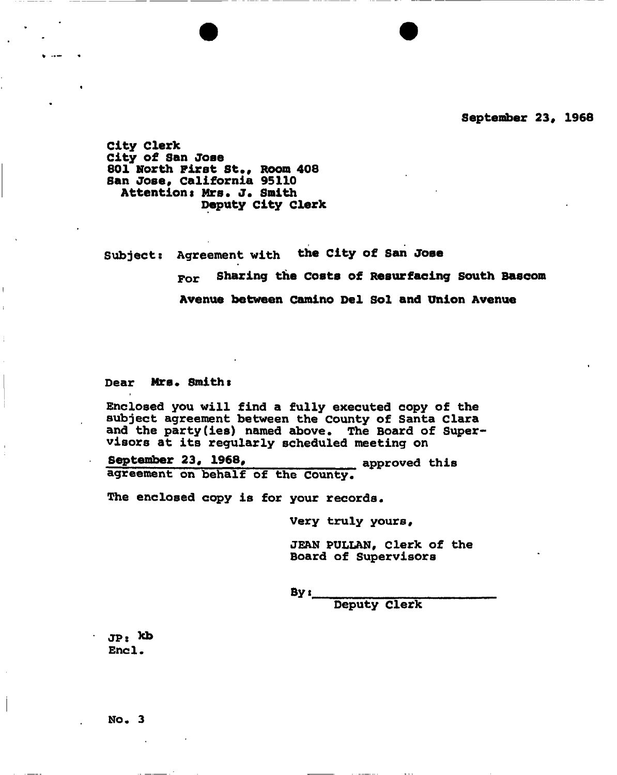**September 23, 1968** 

**City Clerk City of San Jose 801 North First St., Room 408 San Jose, California 95110 Attentions Mrs. J. Smith Deputy City Clerk** 

**Subjects Agreement with the City of San Jose** 

**For Sharing the Costs of Resurfacing South Bascom** 

**Avenue between Camino Del Sol and Union Avenue** 

**Dear Mrs. Smiths** 

**Enclosed you will find a fully executed copy of the subject agreement between the County of Santa Clara and the party(ies) named above. The Board of Supervisors at its regularly scheduled meeting on** 

September 23, 1968, approved this **agreement on behalf of the County.** 

**The enclosed copy is for your records.** 

**Very truly yours,** 

**JEAN PULLAN, Clerk of the Board of Supervisors** 

**By t** 

**Deputy Clerk** 

**JPs Encl.** 

**No. 3**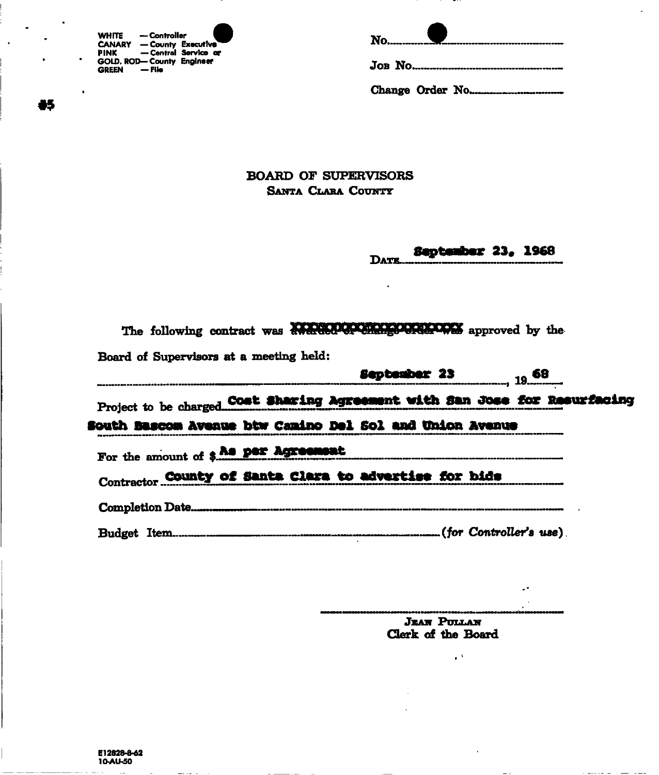| <b>WHITE</b>              | — Controller       |                      |
|---------------------------|--------------------|----------------------|
| <b>CANARY</b>             | - County Executive |                      |
| <b>PINK</b>               |                    | - Central Service or |
| GOLD, ROD-County Engineer |                    |                      |
| <b>GREEN</b>              | — File             |                      |

 $\sim$  100  $\pm$ 

45

|--|--|

**BOARD OF SUPERVISORS** SANTA CLARA COUNTY

> September 23, 1968 DATE.

| The following contract was a and the contract of the sproved by the        |                           |  |
|----------------------------------------------------------------------------|---------------------------|--|
| Board of Supervisors at a meeting held:                                    |                           |  |
|                                                                            | <b>September 23</b> 19.68 |  |
| Project to be charged Cost Sharing Agreement with San Jose for Resurfacing |                           |  |
| South Bascom Avenue btw Camino Del Sol and Union Avenue                    |                           |  |
| For the amount of \$ A0 per Agreement                                      |                           |  |
| Contractor County of Santa Clara to advertise for bids                     |                           |  |
|                                                                            |                           |  |
|                                                                            |                           |  |

 $\mathcal{L}$ 

 $\cdot$ 

 $\mathcal{L}^{\frac{1}{2}}$ 

**JEAN PULLAN** Clerk of the Board

 $\mathcal{F}^{(k)}$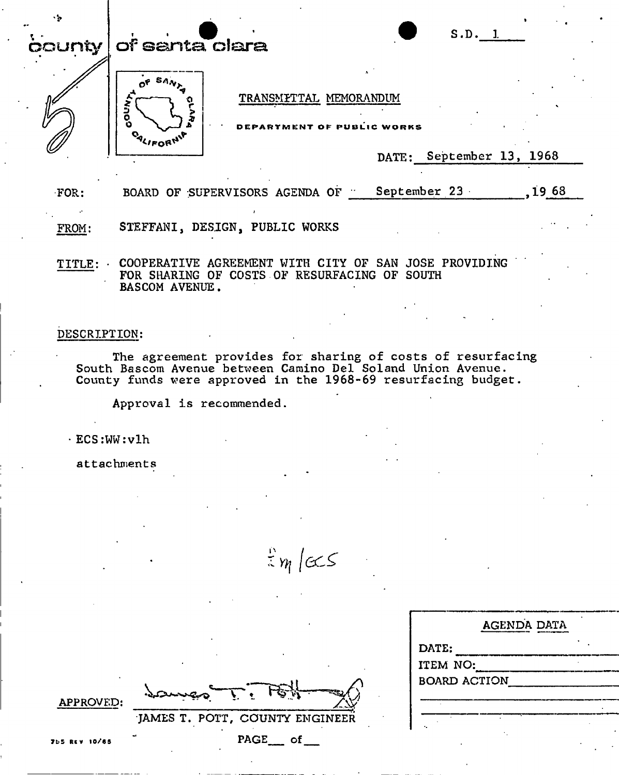| bounty | of santa clara                                                                                            | $S.D.$ 1                 |
|--------|-----------------------------------------------------------------------------------------------------------|--------------------------|
|        | $S_{\Lambda_N}$<br>TRANSMETTAL MEMORANDUM<br>ر<br>٥<br>o<br>DEPARTMENT OF PUBLIC WORKS<br><b>CALIFORT</b> |                          |
|        |                                                                                                           | DATE: September 13, 1968 |
| FOR:   | BOARD OF SUPERVISORS AGENDA OF "                                                                          | September 23<br>1968     |

**TITLE: • COOPERATIVE AGREEMENT WITH CITY OF SAN JOSE PROVIDING FOR SHARING OF COSTS OF RESURFACING OF SOUTH BASCOM AVENUE.** 

## **DESCRIPTION:**

Ġ.

**The agreement provides for sharing of costs of resurfacing South Bascom Avenue between Camino Del Soland Union Avenue. County funds were approved in the 1968-69 resurfacing budget.** 

 $\frac{p}{2}$   $m$  / $\alpha$   $S$ 

**Approval is recommended.** 

**FROM: STEFFANI, DESIGN, PUBLIC WORKS** 

**• ECS:WW:vlh** 

**attachments** 

AGENDA DATA DATE: ITEM NO: BOARD ACTION

APPROVED:

JAMES T. POTT, COUNTY ENGINEER

 $PAGE$  of  $\_\_$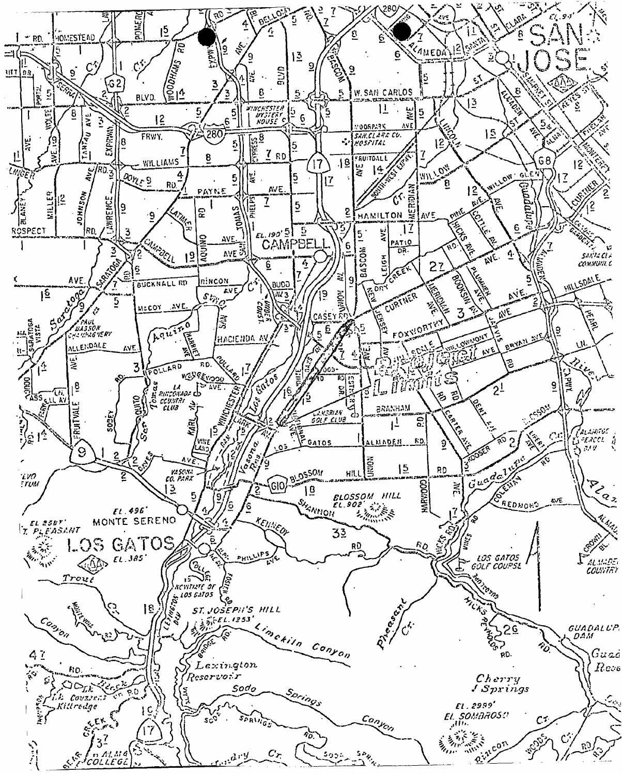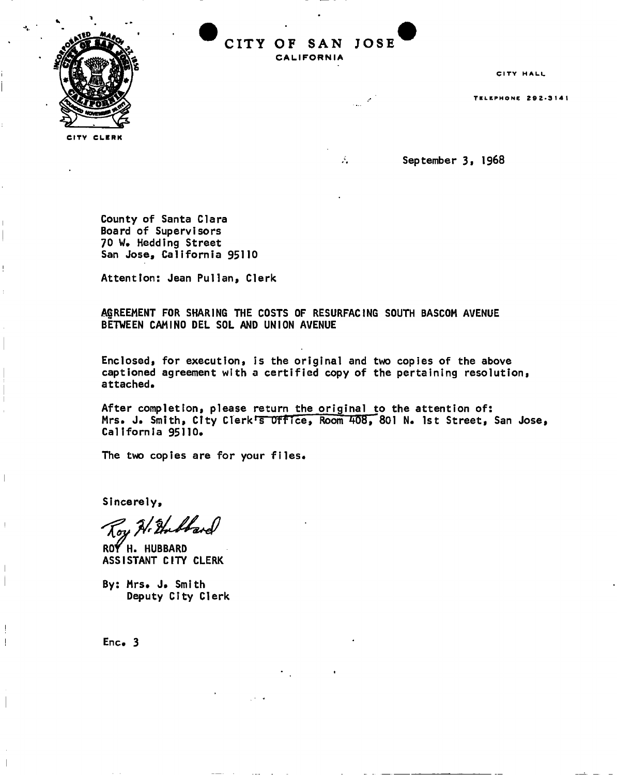

CITY OF SAN JOSE **CALIFORNIA** 

Á.

CITY HALL

**TELEPHONE 2 9 2\*3141** 

CITY CLERK

September 3, 1968

County of Santa Clara Board of Supervisors 70 W. Hedding Street San Jose, California 95110

Attention: Jean Pullan, Clerk

AGREEMENT FOR SHARING THE COSTS OF RESURFACING SOUTH BASCOM AVENUE BETWEEN CAMINO DEL SOL AND UNION AVENUE

Enclosed, for execution, is the original and two copies of the above captioned agreement with a certified copy of the pertaining resolution, attached.

After completion, please return the original to the attention of: Mrs. J. Smith, City Clerk's Office, Room 408, 801 N. 1st Street, San Jose, California 95110.

The two copies are for your files.

Sincerely,

Roy H. Hubbard

ROY H. HUBBARD ASSISTANT CITY CLERK

By: Mrs. J. Smith Deputy City Clerk

Enc. 3

 $\begin{array}{c} \begin{array}{c} \hline \end{array} \end{array}$